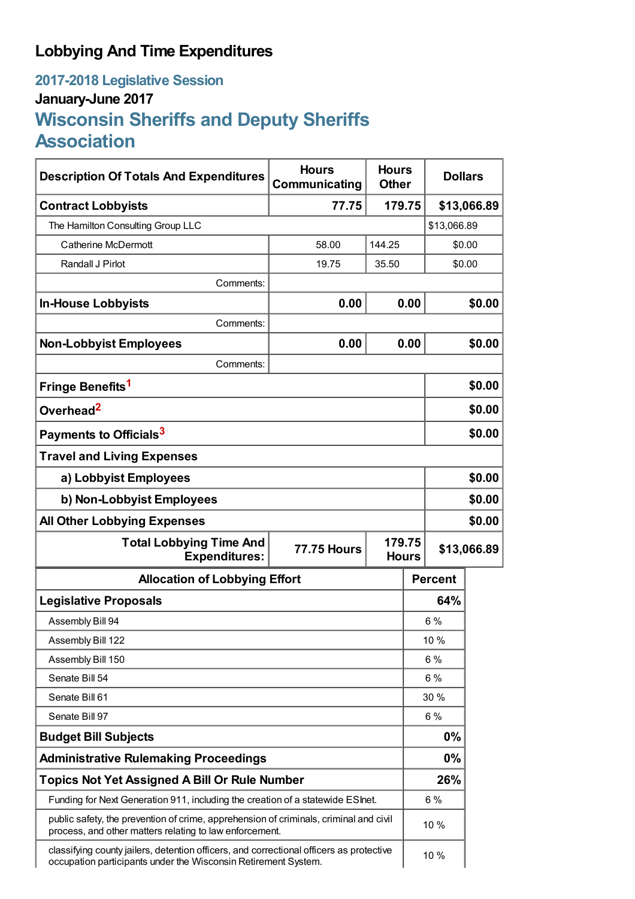## **Lobbying And Time Expenditures**

## **2017-2018 Legislative Session January-June 2017 Wisconsin Sheriffs and Deputy Sheriffs Association**

| <b>Description Of Totals And Expenditures</b>                                                                                                             | <b>Hours</b><br>Communicating | <b>Hours</b><br><b>Other</b> |        | <b>Dollars</b> |        |  |
|-----------------------------------------------------------------------------------------------------------------------------------------------------------|-------------------------------|------------------------------|--------|----------------|--------|--|
| <b>Contract Lobbyists</b>                                                                                                                                 | 77.75<br>179.75               |                              |        | \$13,066.89    |        |  |
| The Hamilton Consulting Group LLC                                                                                                                         |                               |                              |        | \$13,066.89    |        |  |
| <b>Catherine McDermott</b>                                                                                                                                | 58.00                         | 144.25                       |        |                | \$0.00 |  |
| Randall J Pirlot                                                                                                                                          | 19.75                         | 35.50                        |        | \$0.00         |        |  |
| Comments:                                                                                                                                                 |                               |                              |        |                |        |  |
| <b>In-House Lobbyists</b>                                                                                                                                 | 0.00                          |                              | 0.00   |                | \$0.00 |  |
| Comments:                                                                                                                                                 |                               |                              |        |                |        |  |
| <b>Non-Lobbyist Employees</b>                                                                                                                             | 0.00                          |                              | 0.00   |                | \$0.00 |  |
| Comments:                                                                                                                                                 |                               |                              |        |                |        |  |
| Fringe Benefits <sup>1</sup>                                                                                                                              |                               |                              |        |                | \$0.00 |  |
| Overhead <sup>2</sup>                                                                                                                                     |                               |                              |        | \$0.00         |        |  |
| Payments to Officials <sup>3</sup>                                                                                                                        |                               |                              |        | \$0.00         |        |  |
| <b>Travel and Living Expenses</b>                                                                                                                         |                               |                              |        |                |        |  |
| a) Lobbyist Employees                                                                                                                                     |                               |                              |        | \$0.00         |        |  |
| b) Non-Lobbyist Employees                                                                                                                                 |                               |                              | \$0.00 |                |        |  |
| <b>All Other Lobbying Expenses</b>                                                                                                                        |                               |                              |        |                | \$0.00 |  |
| <b>Total Lobbying Time And</b><br>179.75<br><b>77.75 Hours</b><br><b>Expenditures:</b><br><b>Hours</b>                                                    |                               |                              |        | \$13,066.89    |        |  |
| <b>Allocation of Lobbying Effort</b>                                                                                                                      |                               |                              |        | <b>Percent</b> |        |  |
| <b>Legislative Proposals</b>                                                                                                                              |                               |                              | 64%    |                |        |  |
| Assembly Bill 94                                                                                                                                          |                               |                              |        | 6 %            |        |  |
| Assembly Bill 122                                                                                                                                         |                               |                              |        | 10 %           |        |  |
| Assembly Bill 150                                                                                                                                         |                               |                              |        | $6\%$          |        |  |
| Senate Bill 54                                                                                                                                            |                               |                              | 6 %    |                |        |  |
| Senate Bill 61                                                                                                                                            |                               |                              | 30 %   |                |        |  |
| Senate Bill 97                                                                                                                                            |                               |                              | 6 %    |                |        |  |
| <b>Budget Bill Subjects</b>                                                                                                                               |                               |                              |        | 0%             |        |  |
| <b>Administrative Rulemaking Proceedings</b>                                                                                                              |                               |                              |        | $0\%$          |        |  |
| <b>Topics Not Yet Assigned A Bill Or Rule Number</b>                                                                                                      |                               |                              |        | 26%            |        |  |
| Funding for Next Generation 911, including the creation of a statewide ESInet.                                                                            |                               |                              |        | 6 %            |        |  |
| public safety, the prevention of crime, apprehension of criminals, criminal and civil<br>process, and other matters relating to law enforcement.          |                               |                              | 10 %   |                |        |  |
| classifying county jailers, detention officers, and correctional officers as protective<br>occupation participants under the Wisconsin Retirement System. |                               |                              | 10 %   |                |        |  |